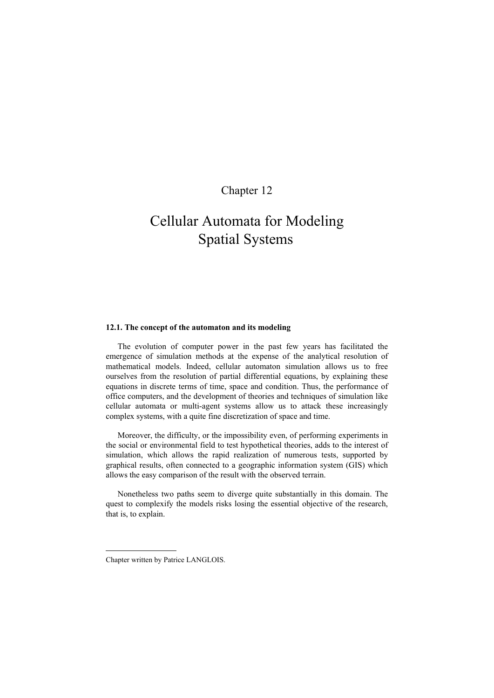# Chapter 12

# Cellular Automata for Modeling Spatial Systems

# **12.1. The concept of the automaton and its modeling**

The evolution of computer power in the past few years has facilitated the emergence of simulation methods at the expense of the analytical resolution of mathematical models. Indeed, cellular automaton simulation allows us to free ourselves from the resolution of partial differential equations, by explaining these equations in discrete terms of time, space and condition. Thus, the performance of office computers, and the development of theories and techniques of simulation like cellular automata or multi-agent systems allow us to attack these increasingly complex systems, with a quite fine discretization of space and time.

Moreover, the difficulty, or the impossibility even, of performing experiments in the social or environmental field to test hypothetical theories, adds to the interest of simulation, which allows the rapid realization of numerous tests, supported by graphical results, often connected to a geographic information system (GIS) which allows the easy comparison of the result with the observed terrain.

Nonetheless two paths seem to diverge quite substantially in this domain. The quest to complexify the models risks losing the essential objective of the research, that is, to explain.

 $\overline{a}$ 

Chapter written by Patrice LANGLOIS.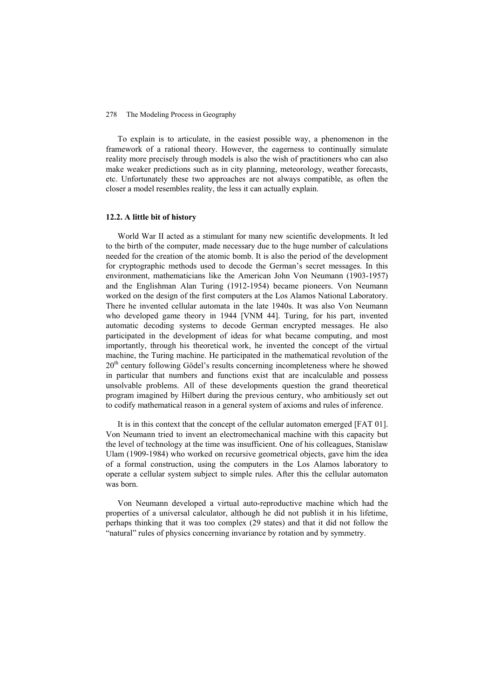To explain is to articulate, in the easiest possible way, a phenomenon in the framework of a rational theory. However, the eagerness to continually simulate reality more precisely through models is also the wish of practitioners who can also make weaker predictions such as in city planning, meteorology, weather forecasts, etc. Unfortunately these two approaches are not always compatible, as often the closer a model resembles reality, the less it can actually explain.

# **12.2. A little bit of history**

World War II acted as a stimulant for many new scientific developments. It led to the birth of the computer, made necessary due to the huge number of calculations needed for the creation of the atomic bomb. It is also the period of the development for cryptographic methods used to decode the German's secret messages. In this environment, mathematicians like the American John Von Neumann (1903-1957) and the Englishman Alan Turing (1912-1954) became pioneers. Von Neumann worked on the design of the first computers at the Los Alamos National Laboratory. There he invented cellular automata in the late 1940s. It was also Von Neumann who developed game theory in 1944 [VNM 44]. Turing, for his part, invented automatic decoding systems to decode German encrypted messages. He also participated in the development of ideas for what became computing, and most importantly, through his theoretical work, he invented the concept of the virtual machine, the Turing machine. He participated in the mathematical revolution of the  $20<sup>th</sup>$  century following Gödel's results concerning incompleteness where he showed in particular that numbers and functions exist that are incalculable and possess unsolvable problems. All of these developments question the grand theoretical program imagined by Hilbert during the previous century, who ambitiously set out to codify mathematical reason in a general system of axioms and rules of inference.

It is in this context that the concept of the cellular automaton emerged [FAT 01]. Von Neumann tried to invent an electromechanical machine with this capacity but the level of technology at the time was insufficient. One of his colleagues, Stanislaw Ulam (1909-1984) who worked on recursive geometrical objects, gave him the idea of a formal construction, using the computers in the Los Alamos laboratory to operate a cellular system subject to simple rules. After this the cellular automaton was born.

Von Neumann developed a virtual auto-reproductive machine which had the properties of a universal calculator, although he did not publish it in his lifetime, perhaps thinking that it was too complex (29 states) and that it did not follow the "natural" rules of physics concerning invariance by rotation and by symmetry.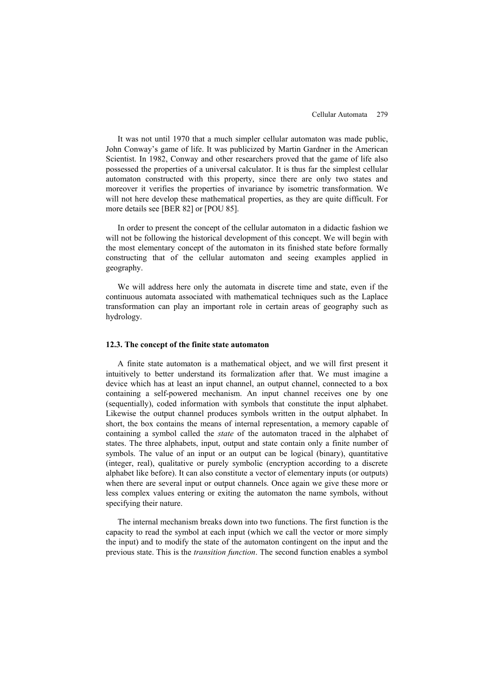It was not until 1970 that a much simpler cellular automaton was made public, John Conway's game of life. It was publicized by Martin Gardner in the American Scientist. In 1982, Conway and other researchers proved that the game of life also possessed the properties of a universal calculator. It is thus far the simplest cellular automaton constructed with this property, since there are only two states and moreover it verifies the properties of invariance by isometric transformation. We will not here develop these mathematical properties, as they are quite difficult. For more details see [BER 82] or [POU 85].

In order to present the concept of the cellular automaton in a didactic fashion we will not be following the historical development of this concept. We will begin with the most elementary concept of the automaton in its finished state before formally constructing that of the cellular automaton and seeing examples applied in geography.

We will address here only the automata in discrete time and state, even if the continuous automata associated with mathematical techniques such as the Laplace transformation can play an important role in certain areas of geography such as hydrology.

#### **12.3. The concept of the finite state automaton**

A finite state automaton is a mathematical object, and we will first present it intuitively to better understand its formalization after that. We must imagine a device which has at least an input channel, an output channel, connected to a box containing a self-powered mechanism. An input channel receives one by one (sequentially), coded information with symbols that constitute the input alphabet. Likewise the output channel produces symbols written in the output alphabet. In short, the box contains the means of internal representation, a memory capable of containing a symbol called the *state* of the automaton traced in the alphabet of states. The three alphabets, input, output and state contain only a finite number of symbols. The value of an input or an output can be logical (binary), quantitative (integer, real), qualitative or purely symbolic (encryption according to a discrete alphabet like before). It can also constitute a vector of elementary inputs (or outputs) when there are several input or output channels. Once again we give these more or less complex values entering or exiting the automaton the name symbols, without specifying their nature.

The internal mechanism breaks down into two functions. The first function is the capacity to read the symbol at each input (which we call the vector or more simply the input) and to modify the state of the automaton contingent on the input and the previous state. This is the *transition function*. The second function enables a symbol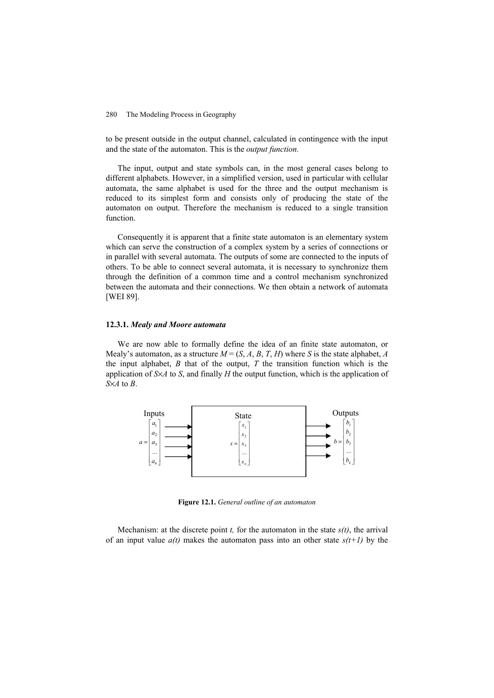to be present outside in the output channel, calculated in contingence with the input and the state of the automaton. This is the *output function.*

The input, output and state symbols can, in the most general cases belong to different alphabets. However, in a simplified version, used in particular with cellular automata, the same alphabet is used for the three and the output mechanism is reduced to its simplest form and consists only of producing the state of the automaton on output. Therefore the mechanism is reduced to a single transition function.

Consequently it is apparent that a finite state automaton is an elementary system which can serve the construction of a complex system by a series of connections or in parallel with several automata. The outputs of some are connected to the inputs of others. To be able to connect several automata, it is necessary to synchronize them through the definition of a common time and a control mechanism synchronized between the automata and their connections. We then obtain a network of automata [WEI 89].

#### **12.3.1.** *Mealy and Moore automata*

We are now able to formally define the idea of an finite state automaton, or Mealy's automaton, as a structure  $M = (S, A, B, T, H)$  where *S* is the state alphabet, *A* the input alphabet, *B* that of the output, *T* the transition function which is the application of *S*×*A* to *S*, and finally *H* the output function, which is the application of *S*×*A* to *B*.



**Figure 12.1.** *General outline of an automaton*

Mechanism: at the discrete point  $t$ , for the automaton in the state  $s(t)$ , the arrival of an input value  $a(t)$  makes the automaton pass into an other state  $s(t+1)$  by the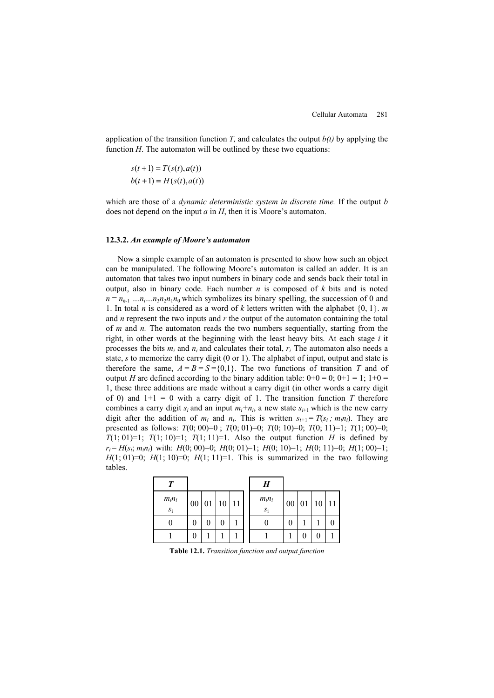application of the transition function *T*, and calculates the output  $b(t)$  by applying the function *H*. The automaton will be outlined by these two equations:

$$
s(t+1) = T(s(t), a(t))
$$
  

$$
b(t+1) = H(s(t), a(t))
$$

which are those of a *dynamic deterministic system in discrete time.* If the output *b*  does not depend on the input *a* in *H*, then it is Moore's automaton.

# **12.3.2.** *An example of Moore's automaton*

Now a simple example of an automaton is presented to show how such an object can be manipulated. The following Moore's automaton is called an adder. It is an automaton that takes two input numbers in binary code and sends back their total in output, also in binary code. Each number *n* is composed of *k* bits and is noted  $n = n_{k-1}$  … $n_i...n_3n_2n_1n_0$  which symbolizes its binary spelling, the succession of 0 and 1. In total *n* is considered as a word of *k* letters written with the alphabet  $\{0, 1\}$ . *m* and *n* represent the two inputs and *r* the output of the automaton containing the total of *m* and *n.* The automaton reads the two numbers sequentially, starting from the right, in other words at the beginning with the least heavy bits. At each stage *i* it processes the bits  $m_i$  and  $n_i$  and calculates their total,  $r_i$ . The automaton also needs a state, *s* to memorize the carry digit (0 or 1). The alphabet of input, output and state is therefore the same,  $A = B = S = \{0,1\}$ . The two functions of transition *T* and of output *H* are defined according to the binary addition table:  $0+0=0$ ;  $0+1=1$ ;  $1+0=$ 1, these three additions are made without a carry digit (in other words a carry digit of 0) and  $1+1 = 0$  with a carry digit of 1. The transition function *T* therefore combines a carry digit  $s_i$  and an input  $m_i+n_i$ , a new state  $s_{i+1}$  which is the new carry digit after the addition of  $m_i$  and  $n_i$ . This is written  $s_{i+1} = T(s_i; m_i n_i)$ . They are presented as follows: *T*(0; 00)=0 ; *T*(0; 01)=0; *T*(0; 10)=0; *T*(0; 11)=1; *T*(1; 00)=0;  $T(1; 01)=1$ ;  $T(1; 10)=1$ ;  $T(1; 11)=1$ . Also the output function *H* is defined by  $r_i = H(s_i; m_i n_i)$  with:  $H(0; 00)=0$ ;  $H(0; 01)=1$ ;  $H(0; 10)=1$ ;  $H(0; 11)=0$ ;  $H(1; 00)=1$ ; *H*(1; 01)=0; *H*(1; 10)=0; *H*(1; 11)=1. This is summarized in the two following tables.

| Т                  |    |    |    |    | H                    |    |    |    |    |
|--------------------|----|----|----|----|----------------------|----|----|----|----|
| $m_i n_i$<br>$S_1$ | 00 | 01 | 10 | 11 | $m_i n_i$<br>$S_{1}$ | 00 | 01 | 10 | 11 |
|                    | 0  |    |    |    |                      | 0  |    |    |    |
|                    | 0  |    |    |    |                      |    | O  | 0  |    |

**Table 12.1.** *Transition function and output function*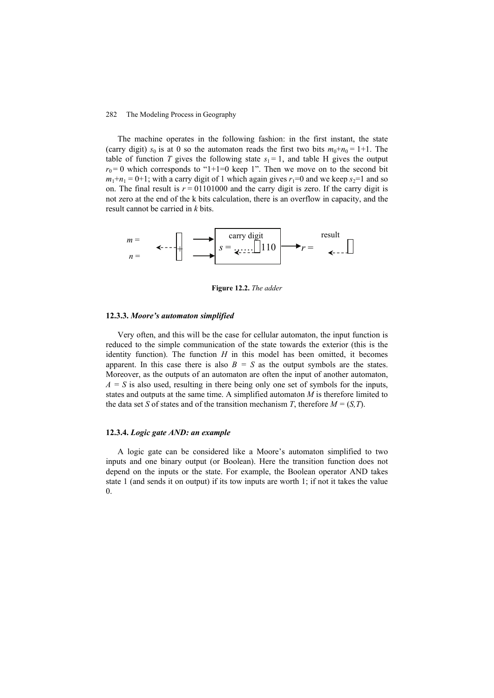The machine operates in the following fashion: in the first instant, the state (carry digit)  $s_0$  is at 0 so the automaton reads the first two bits  $m_0+n_0 = 1+1$ . The table of function *T* gives the following state  $s_1 = 1$ , and table H gives the output  $r_0 = 0$  which corresponds to "1+1=0 keep 1". Then we move on to the second bit  $m_1 + n_1 = 0 + 1$ ; with a carry digit of 1 which again gives  $r_1 = 0$  and we keep  $s_2 = 1$  and so on. The final result is  $r = 01101000$  and the carry digit is zero. If the carry digit is not zero at the end of the k bits calculation, there is an overflow in capacity, and the result cannot be carried in *k* bits.



**Figure 12.2.** *The adder*

#### **12.3.3.** *Moore's automaton simplified*

Very often, and this will be the case for cellular automaton, the input function is reduced to the simple communication of the state towards the exterior (this is the identity function). The function  $H$  in this model has been omitted, it becomes apparent. In this case there is also  $B = S$  as the output symbols are the states. Moreover, as the outputs of an automaton are often the input of another automaton,  $A = S$  is also used, resulting in there being only one set of symbols for the inputs, states and outputs at the same time. A simplified automaton *M* is therefore limited to the data set *S* of states and of the transition mechanism *T*, therefore  $M = (S, T)$ .

#### **12.3.4.** *Logic gate AND: an example*

A logic gate can be considered like a Moore's automaton simplified to two inputs and one binary output (or Boolean). Here the transition function does not depend on the inputs or the state. For example, the Boolean operator AND takes state 1 (and sends it on output) if its tow inputs are worth 1; if not it takes the value 0.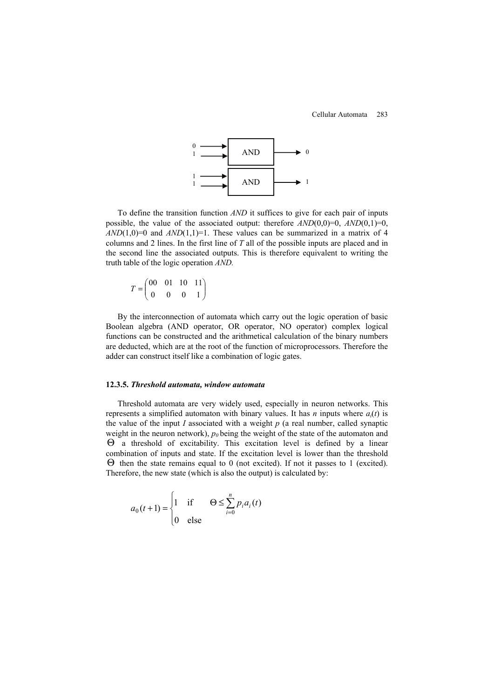

To define the transition function *AND* it suffices to give for each pair of inputs possible, the value of the associated output: therefore  $AND(0,0)=0$ ,  $AND(0,1)=0$ ,  $AND(1,0)=0$  and  $AND(1,1)=1$ . These values can be summarized in a matrix of 4 columns and 2 lines. In the first line of *T* all of the possible inputs are placed and in the second line the associated outputs. This is therefore equivalent to writing the truth table of the logic operation *AND.*

$$
T = \begin{pmatrix} 00 & 01 & 10 & 11 \\ 0 & 0 & 0 & 1 \end{pmatrix}
$$

By the interconnection of automata which carry out the logic operation of basic Boolean algebra (AND operator, OR operator, NO operator) complex logical functions can be constructed and the arithmetical calculation of the binary numbers are deducted, which are at the root of the function of microprocessors. Therefore the adder can construct itself like a combination of logic gates.

# **12.3.5.** *Threshold automata, window automata*

Threshold automata are very widely used, especially in neuron networks. This represents a simplified automaton with binary values. It has *n* inputs where  $a_i(t)$  is the value of the input *I* associated with a weight *p* (a real number, called synaptic weight in the neuron network),  $p_0$  being the weight of the state of the automaton and Θ a threshold of excitability. This excitation level is defined by a linear combination of inputs and state. If the excitation level is lower than the threshold Θ then the state remains equal to 0 (not excited). If not it passes to 1 (excited). Therefore, the new state (which is also the output) is calculated by:

$$
a_0(t+1) = \begin{cases} 1 & \text{if } \qquad \Theta \le \sum_{i=0}^n p_i a_i(t) \\ 0 & \text{else} \end{cases}
$$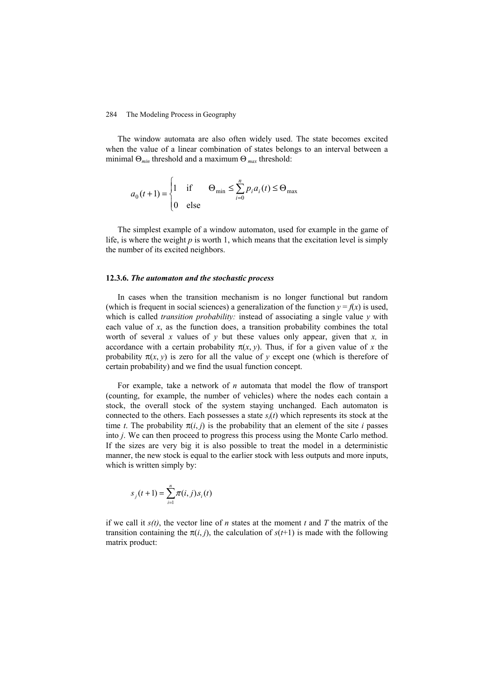The window automata are also often widely used. The state becomes excited when the value of a linear combination of states belongs to an interval between a minimal Θ*min* threshold and a maximum Θ *max* threshold:

$$
a_0(t+1) = \begin{cases} 1 & \text{if } \Theta_{\min} \le \sum_{i=0}^n p_i a_i(t) \le \Theta_{\max} \\ 0 & \text{else} \end{cases}
$$

The simplest example of a window automaton, used for example in the game of life, is where the weight  $p$  is worth 1, which means that the excitation level is simply the number of its excited neighbors.

#### **12.3.6.** *The automaton and the stochastic process*

In cases when the transition mechanism is no longer functional but random (which is frequent in social sciences) a generalization of the function  $y = f(x)$  is used. which is called *transition probability:* instead of associating a single value *y* with each value of *x*, as the function does, a transition probability combines the total worth of several *x* values of *y* but these values only appear, given that *x,* in accordance with a certain probability  $\pi(x, y)$ . Thus, if for a given value of x the probability  $\pi(x, y)$  is zero for all the value of y except one (which is therefore of certain probability) and we find the usual function concept.

For example, take a network of *n* automata that model the flow of transport (counting, for example, the number of vehicles) where the nodes each contain a stock, the overall stock of the system staying unchanged. Each automaton is connected to the others. Each possesses a state *si*(*t*) which represents its stock at the time *t*. The probability  $\pi(i, j)$  is the probability that an element of the site *i* passes into *j*. We can then proceed to progress this process using the Monte Carlo method. If the sizes are very big it is also possible to treat the model in a deterministic manner, the new stock is equal to the earlier stock with less outputs and more inputs, which is written simply by:

$$
s_j(t+1) = \sum_{i=1}^n \pi(i, j) s_i(t)
$$

if we call it *s(t)*, the vector line of *n* states at the moment *t* and *T* the matrix of the transition containing the  $\pi(i, j)$ , the calculation of  $s(t+1)$  is made with the following matrix product: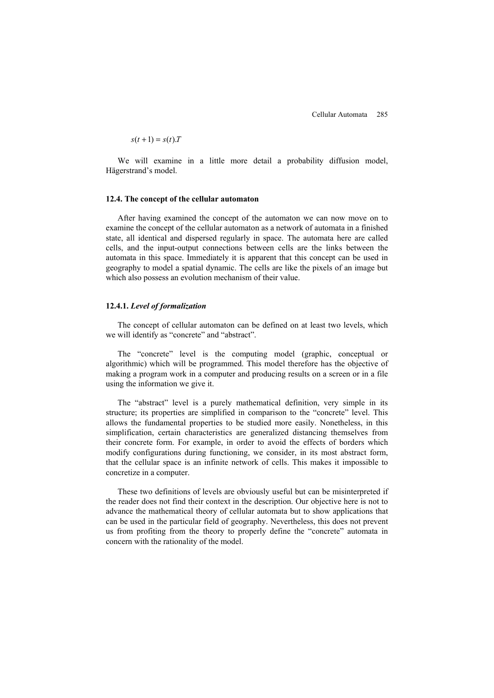$$
s(t+1) = s(t).T
$$

We will examine in a little more detail a probability diffusion model, Hägerstrand's model.

# **12.4. The concept of the cellular automaton**

After having examined the concept of the automaton we can now move on to examine the concept of the cellular automaton as a network of automata in a finished state, all identical and dispersed regularly in space. The automata here are called cells, and the input-output connections between cells are the links between the automata in this space. Immediately it is apparent that this concept can be used in geography to model a spatial dynamic. The cells are like the pixels of an image but which also possess an evolution mechanism of their value.

### **12.4.1.** *Level of formalization*

The concept of cellular automaton can be defined on at least two levels, which we will identify as "concrete" and "abstract".

The "concrete" level is the computing model (graphic, conceptual or algorithmic) which will be programmed. This model therefore has the objective of making a program work in a computer and producing results on a screen or in a file using the information we give it.

The "abstract" level is a purely mathematical definition, very simple in its structure; its properties are simplified in comparison to the "concrete" level. This allows the fundamental properties to be studied more easily. Nonetheless, in this simplification, certain characteristics are generalized distancing themselves from their concrete form. For example, in order to avoid the effects of borders which modify configurations during functioning, we consider, in its most abstract form, that the cellular space is an infinite network of cells. This makes it impossible to concretize in a computer.

These two definitions of levels are obviously useful but can be misinterpreted if the reader does not find their context in the description. Our objective here is not to advance the mathematical theory of cellular automata but to show applications that can be used in the particular field of geography. Nevertheless, this does not prevent us from profiting from the theory to properly define the "concrete" automata in concern with the rationality of the model.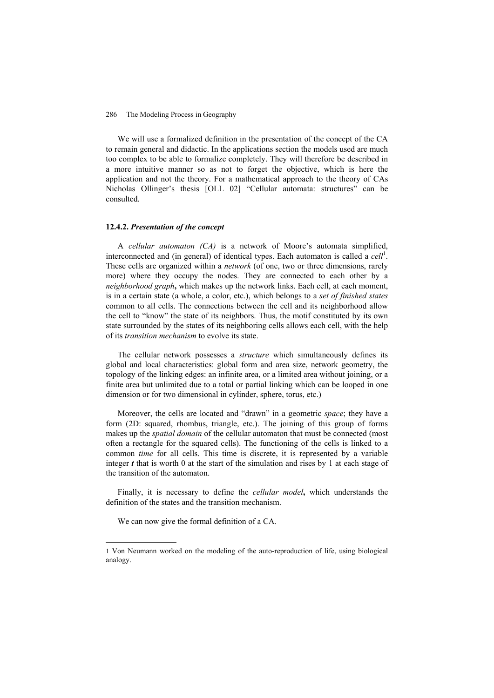We will use a formalized definition in the presentation of the concept of the CA to remain general and didactic. In the applications section the models used are much too complex to be able to formalize completely. They will therefore be described in a more intuitive manner so as not to forget the objective, which is here the application and not the theory. For a mathematical approach to the theory of CAs Nicholas Ollinger's thesis [OLL 02] "Cellular automata: structures" can be consulted.

# **12.4.2.** *Presentation of the concept*

A *cellular automaton (CA)* is a network of Moore's automata simplified, interconnected and (in general) of identical types. Each automaton is called a  $cell<sup>1</sup>$ . These cells are organized within a *network* (of one, two or three dimensions, rarely more) where they occupy the nodes. They are connected to each other by a *neighborhood graph***,** which makes up the network links. Each cell, at each moment, is in a certain state (a whole, a color, etc.), which belongs to a *set of finished states*  common to all cells. The connections between the cell and its neighborhood allow the cell to "know" the state of its neighbors. Thus, the motif constituted by its own state surrounded by the states of its neighboring cells allows each cell, with the help of its *transition mechanism* to evolve its state.

The cellular network possesses a *structure* which simultaneously defines its global and local characteristics: global form and area size, network geometry, the topology of the linking edges: an infinite area, or a limited area without joining, or a finite area but unlimited due to a total or partial linking which can be looped in one dimension or for two dimensional in cylinder, sphere, torus, etc.)

Moreover, the cells are located and "drawn" in a geometric *space*; they have a form (2D: squared, rhombus, triangle, etc.). The joining of this group of forms makes up the *spatial domain* of the cellular automaton that must be connected (most often a rectangle for the squared cells). The functioning of the cells is linked to a common *time* for all cells. This time is discrete, it is represented by a variable integer *t* that is worth 0 at the start of the simulation and rises by 1 at each stage of the transition of the automaton.

Finally, it is necessary to define the *cellular model***,** which understands the definition of the states and the transition mechanism.

We can now give the formal definition of a CA.

 $\overline{a}$ 

<sup>1</sup> Von Neumann worked on the modeling of the auto-reproduction of life, using biological analogy.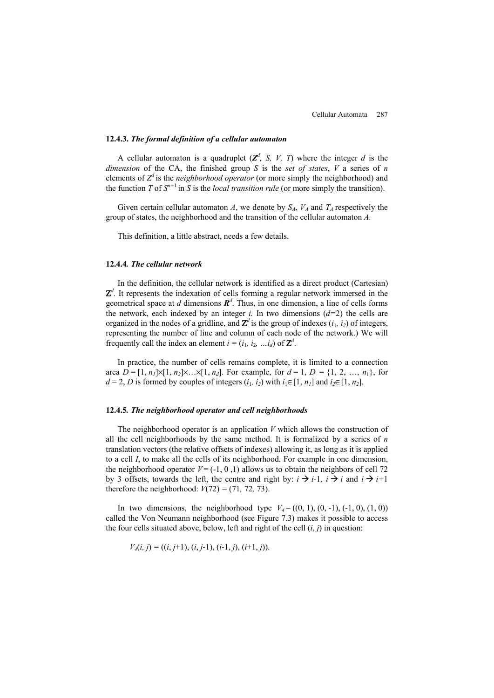#### **12.4.3.** *The formal definition of a cellular automaton*

A cellular automaton is a quadruplet  $(Z^d, S, V, T)$  where the integer *d* is the *dimension* of the CA, the finished group *S* is the *set of states*, *V* a series of *n*  elements of  $Z^d$  is the *neighborhood operator* (or more simply the neighborhood) and the function *T* of  $S^{n+1}$  in *S* is the *local transition rule* (or more simply the transition).

Given certain cellular automaton *A*, we denote by  $S_A$ ,  $V_A$  and  $T_A$  respectively the group of states, the neighborhood and the transition of the cellular automaton *A.* 

This definition, a little abstract, needs a few details.

#### **12.4.4***. The cellular network*

In the definition, the cellular network is identified as a direct product (Cartesian) Ζ*d .* It represents the indexation of cells forming a regular network immersed in the geometrical space at *d* dimensions  $\mathbb{R}^d$ . Thus, in one dimension, a line of cells forms the network, each indexed by an integer *i*. In two dimensions  $(d=2)$  the cells are organized in the nodes of a gridline, and  $\mathbf{Z}^d$  is the group of indexes  $(i_1, i_2)$  of integers, representing the number of line and column of each node of the network.) We will frequently call the index an element  $i = (i_1, i_2, \dots, i_d)$  of  $\mathbb{Z}^d$ .

In practice, the number of cells remains complete, it is limited to a connection area  $D = [1, n_1] \times [1, n_2] \times ... \times [1, n_d]$ . For example, for  $d = 1, D = \{1, 2, ..., n_1\}$ , for  $d = 2$ , *D* is formed by couples of integers  $(i_1, i_2)$  with  $i_1 \in [1, n_1]$  and  $i_2 \in [1, n_2]$ .

#### **12.4.5***. The neighborhood operator and cell neighborhoods*

The neighborhood operator is an application *V* which allows the construction of all the cell neighborhoods by the same method. It is formalized by a series of *n*  translation vectors (the relative offsets of indexes) allowing it, as long as it is applied to a cell *I*, to make all the cells of its neighborhood. For example in one dimension, the neighborhood operator  $V = (-1, 0, 1)$  allows us to obtain the neighbors of cell 72 by 3 offsets, towards the left, the centre and right by:  $i \rightarrow i-1$ ,  $i \rightarrow i$  and  $i \rightarrow i+1$ therefore the neighborhood:  $V(72) = (71, 72, 73)$ .

In two dimensions, the neighborhood type  $V_4 = ((0, 1), (0, -1), (-1, 0), (1, 0))$ called the Von Neumann neighborhood (see Figure 7.3) makes it possible to access the four cells situated above, below, left and right of the cell  $(i, j)$  in question:

$$
V_4(i, j) = ((i, j+1), (i, j-1), (i-1, j), (i+1, j)).
$$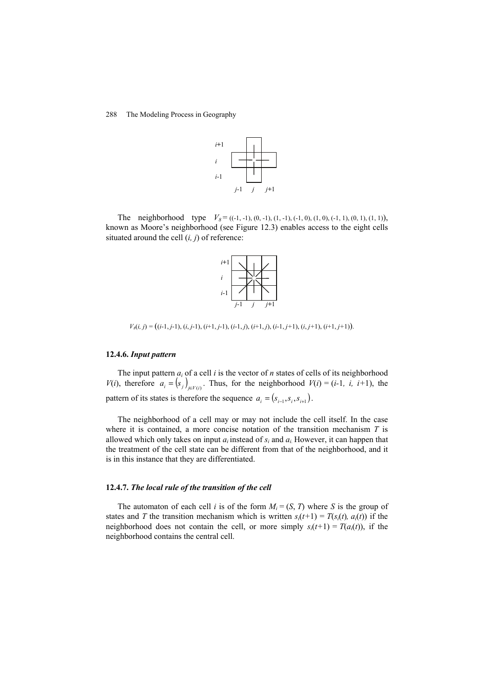

The neighborhood type  $V_8 = ((-1, -1), (0, -1), (1, -1), (-1, 0), (1, 0), (-1, 1), (0, 1), (1, 1)),$ known as Moore's neighborhood (see Figure 12.3) enables access to the eight cells situated around the cell (*i, j*) of reference:

| $i+1$ |  |      |
|-------|--|------|
| Î     |  |      |
| $i-1$ |  |      |
|       |  | $+1$ |

 $V_8(i, j) = ((i-1, j-1), (i, j-1), (i+1, j-1), (i-1, j), (i+1, j), (i-1, j+1), (i, j+1), (i+1, j+1)).$ 

# **12.4.6.** *Input pattern*

The input pattern *ai* of a cell *i* is the vector of *n* states of cells of its neighborhood *V*(*i*), therefore  $a_i = (s_j)_{j \in V(i)}$ . Thus, for the neighborhood  $V(i) = (i-1, i, i+1)$ , the pattern of its states is therefore the sequence  $a_i = (s_{i-1}, s_i, s_{i+1})$ .

The neighborhood of a cell may or may not include the cell itself. In the case where it is contained, a more concise notation of the transition mechanism *T* is allowed which only takes on input  $a_i$  instead of  $s_i$  and  $a_i$ . However, it can happen that the treatment of the cell state can be different from that of the neighborhood, and it is in this instance that they are differentiated.

#### **12.4.7.** *The local rule of the transition of the cell*

The automaton of each cell *i* is of the form  $M_i = (S, T)$  where *S* is the group of states and *T* the transition mechanism which is written  $s_i(t+1) = T(s_i(t), a_i(t))$  if the neighborhood does not contain the cell, or more simply  $s_i(t+1) = T(a_i(t))$ , if the neighborhood contains the central cell.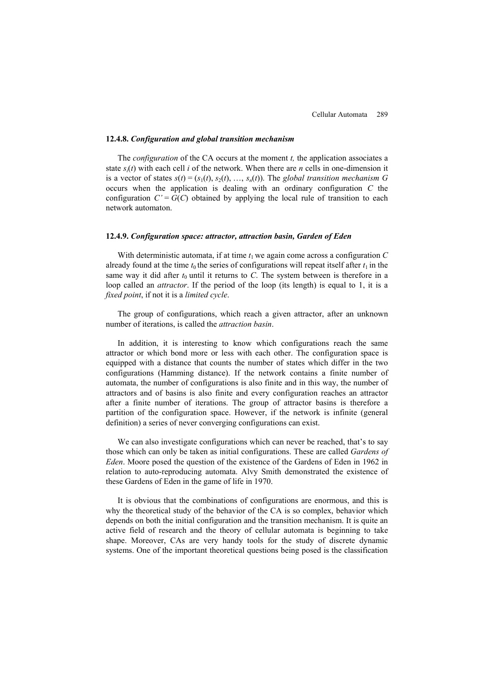#### **12.4.8.** *Configuration and global transition mechanism*

The *configuration* of the CA occurs at the moment *t,* the application associates a state  $s_i(t)$  with each cell *i* of the network. When there are *n* cells in one-dimension it is a vector of states  $s(t) = (s_1(t), s_2(t), \ldots, s_n(t))$ . The *global transition mechanism G* occurs when the application is dealing with an ordinary configuration *C* the configuration  $C' = G(C)$  obtained by applying the local rule of transition to each network automaton.

#### **12.4.9.** *Configuration space: attractor, attraction basin, Garden of Eden*

With deterministic automata, if at time  $t_1$  we again come across a configuration  $C$ already found at the time  $t_0$  the series of configurations will repeat itself after  $t_1$  in the same way it did after  $t_0$  until it returns to  $C$ . The system between is therefore in a loop called an *attractor*. If the period of the loop (its length) is equal to 1, it is a *fixed point*, if not it is a *limited cycle*.

The group of configurations, which reach a given attractor, after an unknown number of iterations, is called the *attraction basin*.

In addition, it is interesting to know which configurations reach the same attractor or which bond more or less with each other. The configuration space is equipped with a distance that counts the number of states which differ in the two configurations (Hamming distance). If the network contains a finite number of automata, the number of configurations is also finite and in this way, the number of attractors and of basins is also finite and every configuration reaches an attractor after a finite number of iterations. The group of attractor basins is therefore a partition of the configuration space. However, if the network is infinite (general definition) a series of never converging configurations can exist.

We can also investigate configurations which can never be reached, that's to say those which can only be taken as initial configurations. These are called *Gardens of Eden*. Moore posed the question of the existence of the Gardens of Eden in 1962 in relation to auto-reproducing automata. Alvy Smith demonstrated the existence of these Gardens of Eden in the game of life in 1970.

It is obvious that the combinations of configurations are enormous, and this is why the theoretical study of the behavior of the CA is so complex, behavior which depends on both the initial configuration and the transition mechanism. It is quite an active field of research and the theory of cellular automata is beginning to take shape. Moreover, CAs are very handy tools for the study of discrete dynamic systems. One of the important theoretical questions being posed is the classification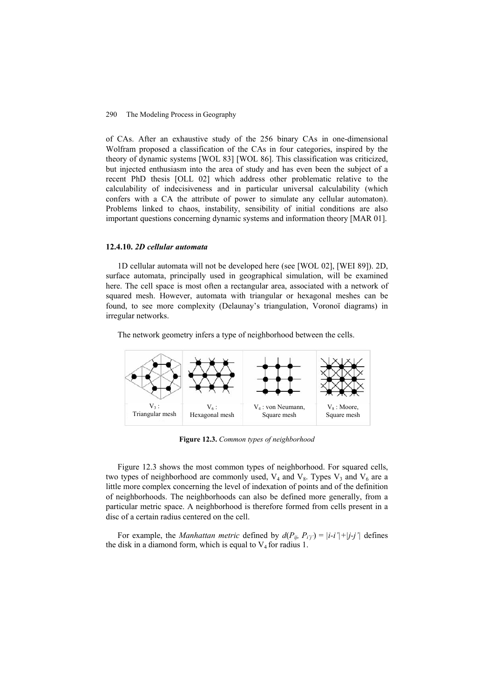of CAs. After an exhaustive study of the 256 binary CAs in one-dimensional Wolfram proposed a classification of the CAs in four categories, inspired by the theory of dynamic systems [WOL 83] [WOL 86]. This classification was criticized, but injected enthusiasm into the area of study and has even been the subject of a recent PhD thesis [OLL 02] which address other problematic relative to the calculability of indecisiveness and in particular universal calculability (which confers with a CA the attribute of power to simulate any cellular automaton). Problems linked to chaos, instability, sensibility of initial conditions are also important questions concerning dynamic systems and information theory [MAR 01].

#### **12.4.10.** *2D cellular automata*

1D cellular automata will not be developed here (see [WOL 02], [WEI 89]). 2D, surface automata, principally used in geographical simulation, will be examined here. The cell space is most often a rectangular area, associated with a network of squared mesh. However, automata with triangular or hexagonal meshes can be found, to see more complexity (Delaunay's triangulation, Voronoï diagrams) in irregular networks.

The network geometry infers a type of neighborhood between the cells.



**Figure 12.3.** *Common types of neighborhood*

Figure 12.3 shows the most common types of neighborhood. For squared cells, two types of neighborhood are commonly used,  $V_4$  and  $V_8$ . Types  $V_3$  and  $V_6$  are a little more complex concerning the level of indexation of points and of the definition of neighborhoods. The neighborhoods can also be defined more generally, from a particular metric space. A neighborhood is therefore formed from cells present in a disc of a certain radius centered on the cell.

For example, the *Manhattan metric* defined by  $d(P_{ij}, P_{i'j'}) = |i-i'|+|j-j'|$  defines the disk in a diamond form, which is equal to  $V_4$  for radius 1.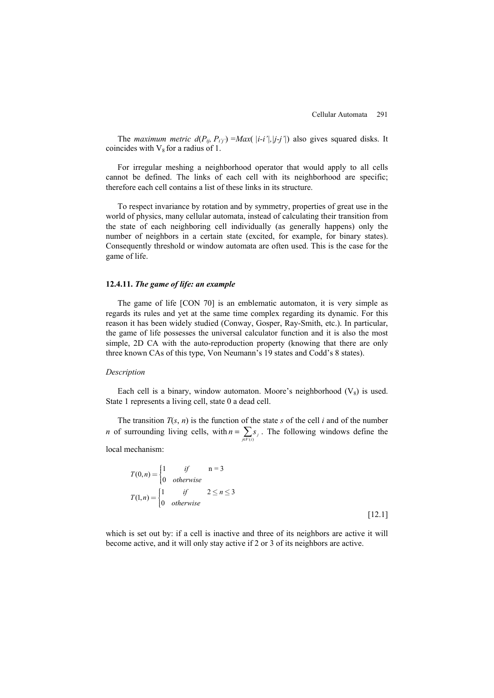The *maximum metric*  $d(P_{ij}, P_{ij'}) = Max(|i-i'|, |j-j'|)$  also gives squared disks. It coincides with  $V_8$  for a radius of 1.

For irregular meshing a neighborhood operator that would apply to all cells cannot be defined. The links of each cell with its neighborhood are specific; therefore each cell contains a list of these links in its structure.

To respect invariance by rotation and by symmetry, properties of great use in the world of physics, many cellular automata, instead of calculating their transition from the state of each neighboring cell individually (as generally happens) only the number of neighbors in a certain state (excited, for example, for binary states). Consequently threshold or window automata are often used. This is the case for the game of life.

### **12.4.11.** *The game of life: an example*

The game of life [CON 70] is an emblematic automaton, it is very simple as regards its rules and yet at the same time complex regarding its dynamic. For this reason it has been widely studied (Conway, Gosper, Ray-Smith, etc.). In particular, the game of life possesses the universal calculator function and it is also the most simple, 2D CA with the auto-reproduction property (knowing that there are only three known CAs of this type, Von Neumann's 19 states and Codd's 8 states).

# *Description*

Each cell is a binary, window automaton. Moore's neighborhood  $(V_8)$  is used. State 1 represents a living cell, state 0 a dead cell.

The transition  $T(s, n)$  is the function of the state *s* of the cell *i* and of the number *n* of surrounding living cells, with  $n = \sum_{j \in V(i)} s_j$ . The following windows define the

local mechanism:

$$
T(0,n) = \begin{cases} 1 & \text{if } n = 3\\ 0 & \text{otherwise} \end{cases}
$$
  

$$
T(1,n) = \begin{cases} 1 & \text{if } 2 \le n \le 3\\ 0 & \text{otherwise} \end{cases}
$$
 [12.1]

which is set out by: if a cell is inactive and three of its neighbors are active it will become active, and it will only stay active if 2 or 3 of its neighbors are active.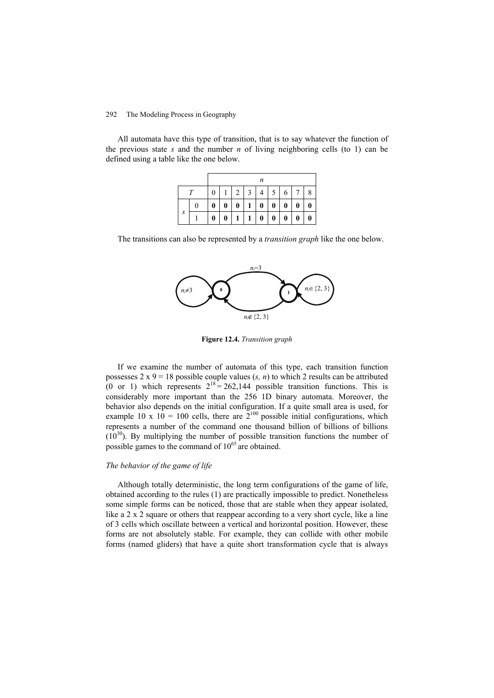All automata have this type of transition, that is to say whatever the function of the previous state *s* and the number *n* of living neighboring cells (to 1) can be defined using a table like the one below.

|                  |   |                |              |              | n            |                                                    |              |          |          |
|------------------|---|----------------|--------------|--------------|--------------|----------------------------------------------------|--------------|----------|----------|
|                  |   | $\overline{0}$ |              |              |              | $1 \mid 2 \mid 3 \mid 4 \mid 5 \mid 6 \mid 7 \mid$ |              |          | 8        |
| $\boldsymbol{S}$ | 0 | 0 <sup>1</sup> | $\mathbf{0}$ | $\mathbf{0}$ |              | $1 \mid 0 \mid 0 \mid 0 \mid 0$                    |              |          | $\bf{0}$ |
|                  |   | $\mathbf{0}$   | $\mathbf{0}$ |              | $\mathbf{0}$ | $\mathbf{0}$                                       | $\mathbf{0}$ | $\bf{0}$ |          |

The transitions can also be represented by a *transition graph* like the one below.



**Figure 12.4.** *Transition graph*

If we examine the number of automata of this type, each transition function possesses  $2 \times 9 = 18$  possible couple values  $(s, n)$  to which 2 results can be attributed (0 or 1) which represents  $2^{18} = 262,144$  possible transition functions. This is considerably more important than the 256 1D binary automata. Moreover, the behavior also depends on the initial configuration. If a quite small area is used, for example 10 x 10 = 100 cells, there are  $2^{100}$  possible initial configurations, which represents a number of the command one thousand billion of billions of billions  $(10^{30})$ . By multiplying the number of possible transition functions the number of possible games to the command of  $10^{65}$  are obtained.

# *The behavior of the game of life*

Although totally deterministic, the long term configurations of the game of life, obtained according to the rules (1) are practically impossible to predict. Nonetheless some simple forms can be noticed, those that are stable when they appear isolated, like a 2 x 2 square or others that reappear according to a very short cycle, like a line of 3 cells which oscillate between a vertical and horizontal position. However, these forms are not absolutely stable. For example, they can collide with other mobile forms (named gliders) that have a quite short transformation cycle that is always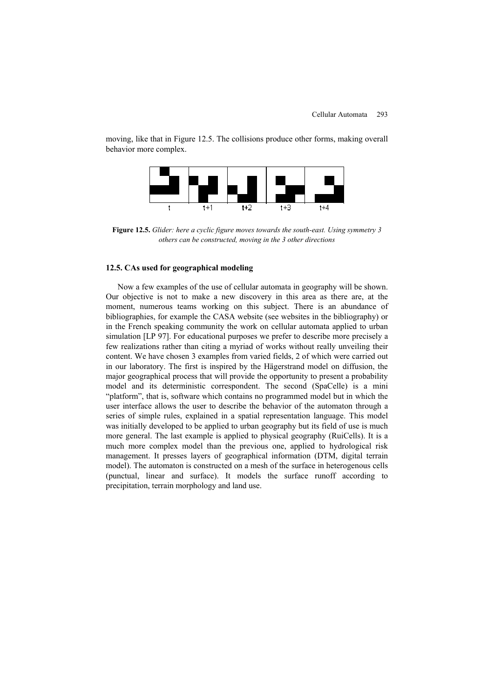moving, like that in Figure 12.5. The collisions produce other forms, making overall behavior more complex.



**Figure 12.5.** *Glider: here a cyclic figure moves towards the south-east. Using symmetry 3 others can be constructed, moving in the 3 other directions* 

# **12.5. CAs used for geographical modeling**

Now a few examples of the use of cellular automata in geography will be shown. Our objective is not to make a new discovery in this area as there are, at the moment, numerous teams working on this subject. There is an abundance of bibliographies, for example the CASA website (see websites in the bibliography) or in the French speaking community the work on cellular automata applied to urban simulation [LP 97]. For educational purposes we prefer to describe more precisely a few realizations rather than citing a myriad of works without really unveiling their content. We have chosen 3 examples from varied fields, 2 of which were carried out in our laboratory. The first is inspired by the Hägerstrand model on diffusion, the major geographical process that will provide the opportunity to present a probability model and its deterministic correspondent. The second (SpaCelle) is a mini "platform", that is, software which contains no programmed model but in which the user interface allows the user to describe the behavior of the automaton through a series of simple rules, explained in a spatial representation language. This model was initially developed to be applied to urban geography but its field of use is much more general. The last example is applied to physical geography (RuiCells). It is a much more complex model than the previous one, applied to hydrological risk management. It presses layers of geographical information (DTM, digital terrain model). The automaton is constructed on a mesh of the surface in heterogenous cells (punctual, linear and surface). It models the surface runoff according to precipitation, terrain morphology and land use.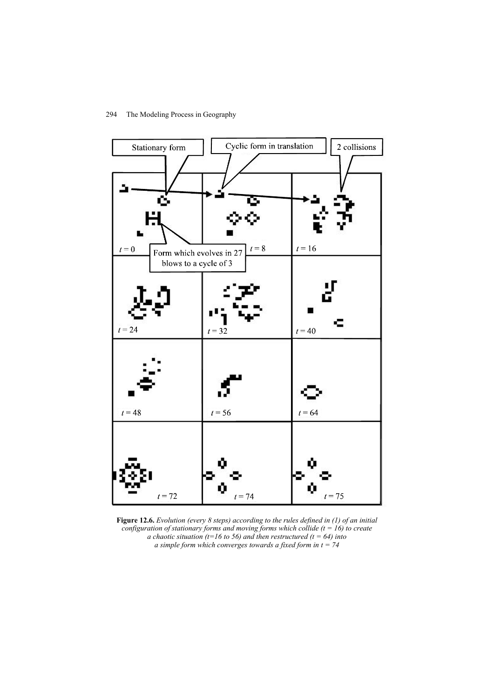

**Figure 12.6.** *Evolution (every 8 steps) according to the rules defined in (1) of an initial configuration of stationary forms and moving forms which collide (t = 16) to create a chaotic situation (t=16 to 56) and then restructured (t = 64) into a simple form which converges towards a fixed form in t = 74*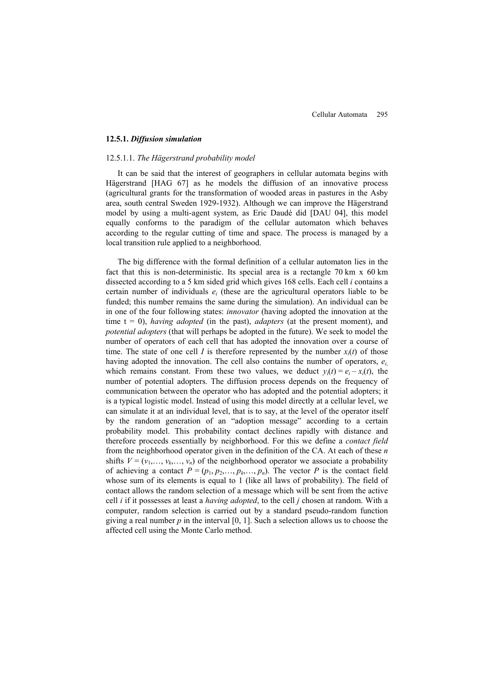# **12.5.1.** *Diffusion simulation*

# 12.5.1.1. *The Hägerstrand probability model*

It can be said that the interest of geographers in cellular automata begins with Hägerstrand [HAG 67] as he models the diffusion of an innovative process (agricultural grants for the transformation of wooded areas in pastures in the Asby area, south central Sweden 1929-1932). Although we can improve the Hägerstrand model by using a multi-agent system, as Eric Daudé did [DAU 04], this model equally conforms to the paradigm of the cellular automaton which behaves according to the regular cutting of time and space. The process is managed by a local transition rule applied to a neighborhood.

The big difference with the formal definition of a cellular automaton lies in the fact that this is non-deterministic. Its special area is a rectangle 70 km x 60 km dissected according to a 5 km sided grid which gives 168 cells. Each cell *i* contains a certain number of individuals *ei* (these are the agricultural operators liable to be funded; this number remains the same during the simulation). An individual can be in one of the four following states: *innovator* (having adopted the innovation at the time t = 0), *having adopted* (in the past), *adapters* (at the present moment), and *potential adopters* (that will perhaps be adopted in the future). We seek to model the number of operators of each cell that has adopted the innovation over a course of time. The state of one cell *I* is therefore represented by the number  $x_i(t)$  of those having adopted the innovation. The cell also contains the number of operators, *ei*, which remains constant. From these two values, we deduct  $y_i(t) = e_i - x_i(t)$ , the number of potential adopters. The diffusion process depends on the frequency of communication between the operator who has adopted and the potential adopters; it is a typical logistic model. Instead of using this model directly at a cellular level, we can simulate it at an individual level, that is to say, at the level of the operator itself by the random generation of an "adoption message" according to a certain probability model. This probability contact declines rapidly with distance and therefore proceeds essentially by neighborhood. For this we define a *contact field* from the neighborhood operator given in the definition of the CA. At each of these *n*  shifts  $V = (v_1, \ldots, v_k, \ldots, v_n)$  of the neighborhood operator we associate a probability of achieving a contact  $P = (p_1, p_2, \ldots, p_k, \ldots, p_n)$ . The vector P is the contact field whose sum of its elements is equal to 1 (like all laws of probability). The field of contact allows the random selection of a message which will be sent from the active cell *i* if it possesses at least a *having adopted*, to the cell *j* chosen at random. With a computer, random selection is carried out by a standard pseudo-random function giving a real number  $p$  in the interval  $[0, 1]$ . Such a selection allows us to choose the affected cell using the Monte Carlo method.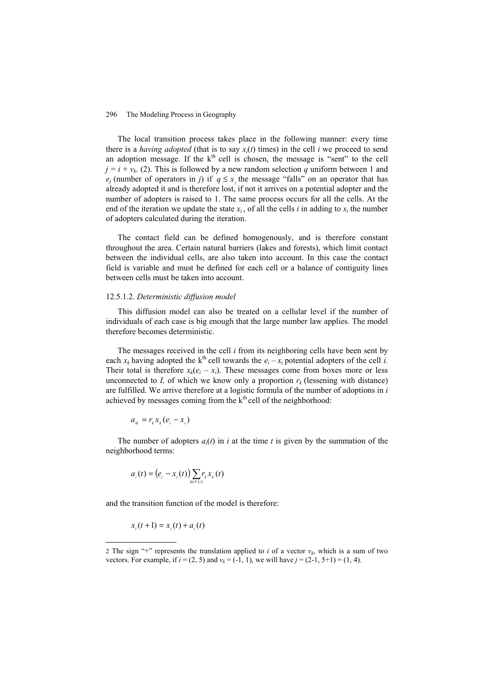The local transition process takes place in the following manner: every time there is a *having adopted* (that is to say  $x_i(t)$  times) in the cell *i* we proceed to send an adoption message. If the  $k<sup>th</sup>$  cell is chosen, the message is "sent" to the cell  $j = i + v_k$ . (2). This is followed by a new random selection *q* uniform between 1 and *e<sub>j</sub>* (number of operators in *j*) if  $q \leq x$  the message "falls" on an operator that has already adopted it and is therefore lost, if not it arrives on a potential adopter and the number of adopters is raised to 1. The same process occurs for all the cells. At the end of the iteration we update the state  $x_i$ , of all the cells *i* in adding to  $x_i$  the number of adopters calculated during the iteration.

The contact field can be defined homogenously, and is therefore constant throughout the area. Certain natural barriers (lakes and forests), which limit contact between the individual cells, are also taken into account. In this case the contact field is variable and must be defined for each cell or a balance of contiguity lines between cells must be taken into account.

#### 12.5.1.2. *Deterministic diffusion model*

This diffusion model can also be treated on a cellular level if the number of individuals of each case is big enough that the large number law applies. The model therefore becomes deterministic.

The messages received in the cell *i* from its neighboring cells have been sent by each  $x_k$  having adopted the k<sup>th</sup> cell towards the  $e_i - x_i$  potential adopters of the cell *i*. Their total is therefore  $x_k(e_i - x_i)$ . These messages come from boxes more or less unconnected to *I*, of which we know only a proportion  $r_k$  (lessening with distance) are fulfilled. We arrive therefore at a logistic formula of the number of adoptions in *i*  achieved by messages coming from the  $k<sup>th</sup>$  cell of the neighborhood:

$$
a_{ik} = r_k x_k (e_i - x_i)
$$

The number of adopters  $a_i(t)$  in *i* at the time *t* is given by the summation of the neighborhood terms:

$$
a_i(t) = (e_i - x_i(t)) \sum_{k \in V(i)} r_k x_k(t)
$$

and the transition function of the model is therefore:

$$
x_i(t+1) = x_i(t) + a_i(t)
$$

 $\overline{a}$ 

<sup>2</sup> The sign "+" represents the translation applied to *i* of a vector  $v_k$ , which is a sum of two vectors. For example, if  $i = (2, 5)$  and  $v_k = (-1, 1)$ , we will have  $j = (2-1, 5+1) = (1, 4)$ .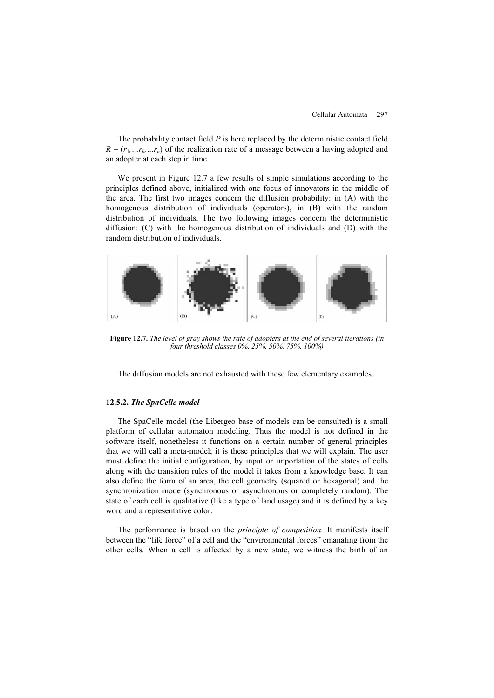The probability contact field *P* is here replaced by the deterministic contact field  $R = (r_1, \ldots r_k, \ldots r_n)$  of the realization rate of a message between a having adopted and an adopter at each step in time.

We present in Figure 12.7 a few results of simple simulations according to the principles defined above, initialized with one focus of innovators in the middle of the area. The first two images concern the diffusion probability: in (A) with the homogenous distribution of individuals (operators), in (B) with the random distribution of individuals. The two following images concern the deterministic diffusion: (C) with the homogenous distribution of individuals and (D) with the random distribution of individuals.



**Figure 12.7.** *The level of gray shows the rate of adopters at the end of several iterations (in four threshold classes 0%, 25%, 50%, 75%, 100%)* 

The diffusion models are not exhausted with these few elementary examples.

# **12.5.2.** *The SpaCelle model*

The SpaCelle model (the Libergeo base of models can be consulted) is a small platform of cellular automaton modeling. Thus the model is not defined in the software itself, nonetheless it functions on a certain number of general principles that we will call a meta-model; it is these principles that we will explain. The user must define the initial configuration, by input or importation of the states of cells along with the transition rules of the model it takes from a knowledge base. It can also define the form of an area, the cell geometry (squared or hexagonal) and the synchronization mode (synchronous or asynchronous or completely random). The state of each cell is qualitative (like a type of land usage) and it is defined by a key word and a representative color.

The performance is based on the *principle of competition.* It manifests itself between the "life force" of a cell and the "environmental forces" emanating from the other cells. When a cell is affected by a new state, we witness the birth of an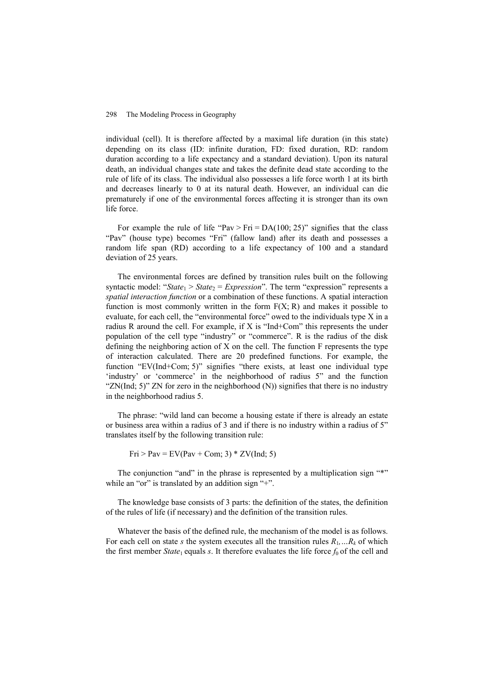individual (cell). It is therefore affected by a maximal life duration (in this state) depending on its class (ID: infinite duration, FD: fixed duration, RD: random duration according to a life expectancy and a standard deviation). Upon its natural death, an individual changes state and takes the definite dead state according to the rule of life of its class. The individual also possesses a life force worth 1 at its birth and decreases linearly to 0 at its natural death. However, an individual can die prematurely if one of the environmental forces affecting it is stronger than its own life force.

For example the rule of life "Pav > Fri = DA(100; 25)" signifies that the class "Pav" (house type) becomes "Fri" (fallow land) after its death and possesses a random life span (RD) according to a life expectancy of 100 and a standard deviation of 25 years.

The environmental forces are defined by transition rules built on the following syntactic model: "*State*<sub>1</sub> > *State*<sub>2</sub> = *Expression*". The term "expression" represents a *spatial interaction function* or a combination of these functions. A spatial interaction function is most commonly written in the form  $F(X; R)$  and makes it possible to evaluate, for each cell, the "environmental force" owed to the individuals type X in a radius R around the cell. For example, if X is "Ind+Com" this represents the under population of the cell type "industry" or "commerce". R is the radius of the disk defining the neighboring action of X on the cell. The function F represents the type of interaction calculated. There are 20 predefined functions. For example, the function "EV(Ind+Com; 5)" signifies "there exists, at least one individual type 'industry' or 'commerce' in the neighborhood of radius 5" and the function " $ZN(Ind; 5)$ " ZN for zero in the neighborhood  $(N)$ ) signifies that there is no industry in the neighborhood radius 5.

The phrase: "wild land can become a housing estate if there is already an estate or business area within a radius of 3 and if there is no industry within a radius of 5" translates itself by the following transition rule:

 $Fri > Pav = EV(Pav + Com; 3) * ZV(Ind; 5)$ 

The conjunction "and" in the phrase is represented by a multiplication sign "\*" while an "or" is translated by an addition sign "+".

The knowledge base consists of 3 parts: the definition of the states, the definition of the rules of life (if necessary) and the definition of the transition rules.

Whatever the basis of the defined rule, the mechanism of the model is as follows. For each cell on state *s* the system executes all the transition rules  $R_1, \ldots, R_k$  of which the first member *State*<sub>1</sub> equals *s*. It therefore evaluates the life force  $f_0$  of the cell and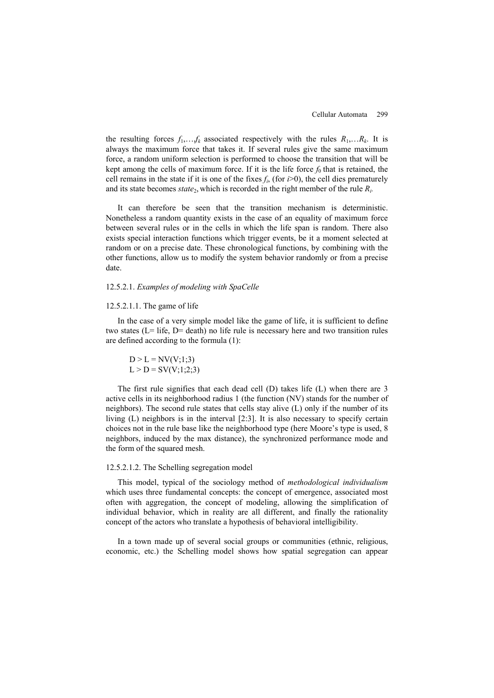the resulting forces  $f_1, \ldots, f_k$  associated respectively with the rules  $R_1, \ldots, R_k$ . It is always the maximum force that takes it. If several rules give the same maximum force, a random uniform selection is performed to choose the transition that will be kept among the cells of maximum force. If it is the life force  $f_0$  that is retained, the cell remains in the state if it is one of the fixes  $f_i$ , (for  $i>0$ ), the cell dies prematurely and its state becomes  $state_2$ , which is recorded in the right member of the rule  $R_i$ .

It can therefore be seen that the transition mechanism is deterministic. Nonetheless a random quantity exists in the case of an equality of maximum force between several rules or in the cells in which the life span is random. There also exists special interaction functions which trigger events, be it a moment selected at random or on a precise date. These chronological functions, by combining with the other functions, allow us to modify the system behavior randomly or from a precise date.

# 12.5.2.1. *Examples of modeling with SpaCelle*

# 12.5.2.1.1. The game of life

In the case of a very simple model like the game of life, it is sufficient to define two states (L= life, D= death) no life rule is necessary here and two transition rules are defined according to the formula (1):

$$
D > L = NV(V; 1; 3)
$$
  
L > D = SV(V; 1; 2; 3)

The first rule signifies that each dead cell (D) takes life (L) when there are 3 active cells in its neighborhood radius 1 (the function (NV) stands for the number of neighbors). The second rule states that cells stay alive (L) only if the number of its living (L) neighbors is in the interval [2:3]. It is also necessary to specify certain choices not in the rule base like the neighborhood type (here Moore's type is used, 8 neighbors, induced by the max distance), the synchronized performance mode and the form of the squared mesh.

# 12.5.2.1.2. The Schelling segregation model

This model, typical of the sociology method of *methodological individualism* which uses three fundamental concepts: the concept of emergence, associated most often with aggregation, the concept of modeling, allowing the simplification of individual behavior, which in reality are all different, and finally the rationality concept of the actors who translate a hypothesis of behavioral intelligibility.

In a town made up of several social groups or communities (ethnic, religious, economic, etc.) the Schelling model shows how spatial segregation can appear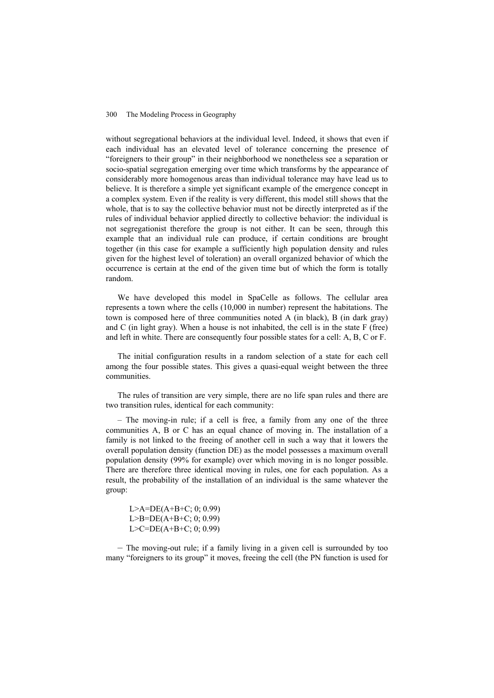without segregational behaviors at the individual level. Indeed, it shows that even if each individual has an elevated level of tolerance concerning the presence of "foreigners to their group" in their neighborhood we nonetheless see a separation or socio-spatial segregation emerging over time which transforms by the appearance of considerably more homogenous areas than individual tolerance may have lead us to believe. It is therefore a simple yet significant example of the emergence concept in a complex system. Even if the reality is very different, this model still shows that the whole, that is to say the collective behavior must not be directly interpreted as if the rules of individual behavior applied directly to collective behavior: the individual is not segregationist therefore the group is not either. It can be seen, through this example that an individual rule can produce, if certain conditions are brought together (in this case for example a sufficiently high population density and rules given for the highest level of toleration) an overall organized behavior of which the occurrence is certain at the end of the given time but of which the form is totally random.

We have developed this model in SpaCelle as follows. The cellular area represents a town where the cells (10,000 in number) represent the habitations. The town is composed here of three communities noted A (in black), B (in dark gray) and C (in light gray). When a house is not inhabited, the cell is in the state  $F$  (free) and left in white. There are consequently four possible states for a cell: A, B, C or F.

The initial configuration results in a random selection of a state for each cell among the four possible states. This gives a quasi-equal weight between the three communities.

The rules of transition are very simple, there are no life span rules and there are two transition rules, identical for each community:

– The moving-in rule; if a cell is free, a family from any one of the three communities A, B or C has an equal chance of moving in. The installation of a family is not linked to the freeing of another cell in such a way that it lowers the overall population density (function DE) as the model possesses a maximum overall population density (99% for example) over which moving in is no longer possible. There are therefore three identical moving in rules, one for each population. As a result, the probability of the installation of an individual is the same whatever the group:

L>A=DE(A+B+C; 0; 0.99) L>B=DE(A+B+C; 0; 0.99) L>C=DE(A+B+C; 0; 0.99)

– The moving-out rule; if a family living in a given cell is surrounded by too many "foreigners to its group" it moves, freeing the cell (the PN function is used for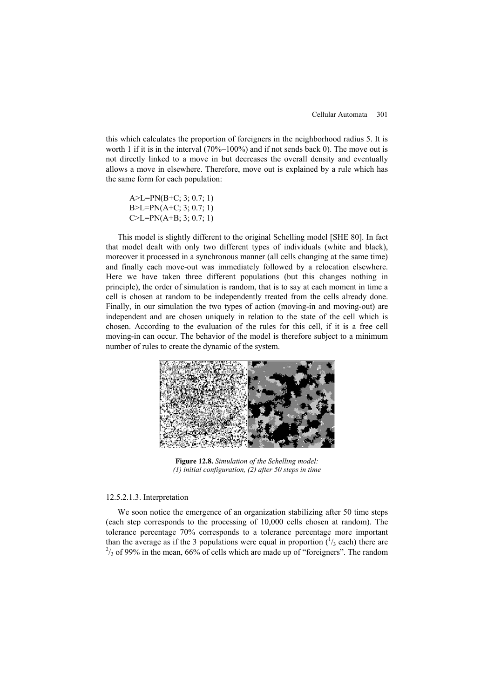this which calculates the proportion of foreigners in the neighborhood radius 5. It is worth 1 if it is in the interval (70%–100%) and if not sends back 0). The move out is not directly linked to a move in but decreases the overall density and eventually allows a move in elsewhere. Therefore, move out is explained by a rule which has the same form for each population:

A>L=PN(B+C; 3; 0.7; 1) B>L=PN(A+C; 3; 0.7; 1)  $C>L=PN(A+B; 3; 0.7; 1)$ 

This model is slightly different to the original Schelling model [SHE 80]. In fact that model dealt with only two different types of individuals (white and black), moreover it processed in a synchronous manner (all cells changing at the same time) and finally each move-out was immediately followed by a relocation elsewhere. Here we have taken three different populations (but this changes nothing in principle), the order of simulation is random, that is to say at each moment in time a cell is chosen at random to be independently treated from the cells already done. Finally, in our simulation the two types of action (moving-in and moving-out) are independent and are chosen uniquely in relation to the state of the cell which is chosen. According to the evaluation of the rules for this cell, if it is a free cell moving-in can occur. The behavior of the model is therefore subject to a minimum number of rules to create the dynamic of the system.



**Figure 12.8.** *Simulation of the Schelling model: (1) initial configuration, (2) after 50 steps in time* 

# 12.5.2.1.3. Interpretation

We soon notice the emergence of an organization stabilizing after 50 time steps (each step corresponds to the processing of 10,000 cells chosen at random). The tolerance percentage 70% corresponds to a tolerance percentage more important than the average as if the 3 populations were equal in proportion ( $\frac{1}{3}$  each) there are  $\frac{2}{3}$  of 00% in the mean 66% of cells which are mode up of "foreigners". The rendem  $^{2}/_{3}$  of 99% in the mean, 66% of cells which are made up of "foreigners". The random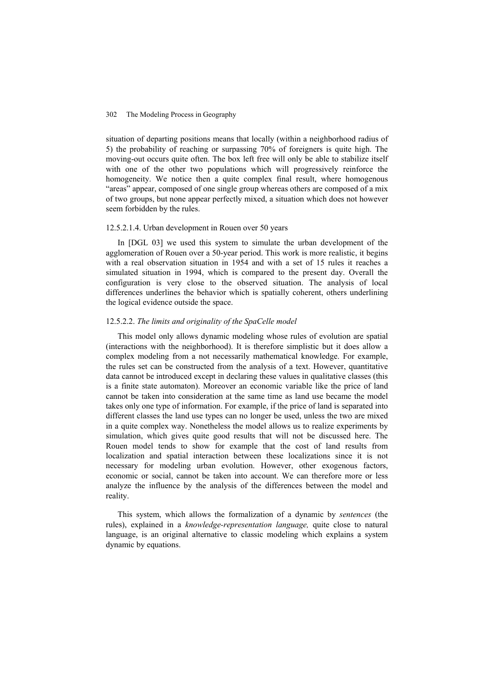situation of departing positions means that locally (within a neighborhood radius of 5) the probability of reaching or surpassing 70% of foreigners is quite high. The moving-out occurs quite often. The box left free will only be able to stabilize itself with one of the other two populations which will progressively reinforce the homogeneity. We notice then a quite complex final result, where homogenous "areas" appear, composed of one single group whereas others are composed of a mix of two groups, but none appear perfectly mixed, a situation which does not however seem forbidden by the rules.

#### 12.5.2.1.4. Urban development in Rouen over 50 years

In [DGL 03] we used this system to simulate the urban development of the agglomeration of Rouen over a 50-year period. This work is more realistic, it begins with a real observation situation in 1954 and with a set of 15 rules it reaches a simulated situation in 1994, which is compared to the present day. Overall the configuration is very close to the observed situation. The analysis of local differences underlines the behavior which is spatially coherent, others underlining the logical evidence outside the space.

# 12.5.2.2. *The limits and originality of the SpaCelle model*

This model only allows dynamic modeling whose rules of evolution are spatial (interactions with the neighborhood). It is therefore simplistic but it does allow a complex modeling from a not necessarily mathematical knowledge. For example, the rules set can be constructed from the analysis of a text. However, quantitative data cannot be introduced except in declaring these values in qualitative classes (this is a finite state automaton). Moreover an economic variable like the price of land cannot be taken into consideration at the same time as land use became the model takes only one type of information. For example, if the price of land is separated into different classes the land use types can no longer be used, unless the two are mixed in a quite complex way. Nonetheless the model allows us to realize experiments by simulation, which gives quite good results that will not be discussed here. The Rouen model tends to show for example that the cost of land results from localization and spatial interaction between these localizations since it is not necessary for modeling urban evolution. However, other exogenous factors, economic or social, cannot be taken into account. We can therefore more or less analyze the influence by the analysis of the differences between the model and reality.

This system, which allows the formalization of a dynamic by *sentences* (the rules), explained in a *knowledge-representation language,* quite close to natural language, is an original alternative to classic modeling which explains a system dynamic by equations.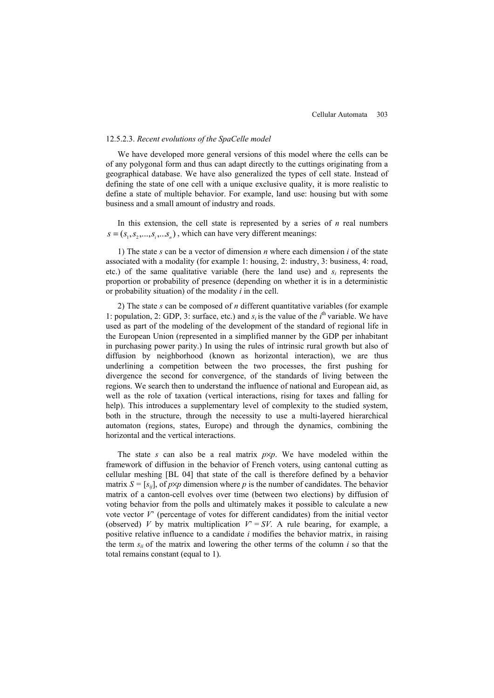#### 12.5.2.3. *Recent evolutions of the SpaCelle model*

We have developed more general versions of this model where the cells can be of any polygonal form and thus can adapt directly to the cuttings originating from a geographical database. We have also generalized the types of cell state. Instead of defining the state of one cell with a unique exclusive quality, it is more realistic to define a state of multiple behavior. For example, land use: housing but with some business and a small amount of industry and roads.

In this extension, the cell state is represented by a series of *n* real numbers  $(s = (s_1, s_2, \ldots, s_i, \ldots, s_n)$ , which can have very different meanings:

1) The state *s* can be a vector of dimension *n* where each dimension *i* of the state associated with a modality (for example 1: housing, 2: industry, 3: business, 4: road, etc.) of the same qualitative variable (here the land use) and  $s_i$  represents the proportion or probability of presence (depending on whether it is in a deterministic or probability situation) of the modality *i* in the cell.

2) The state *s* can be composed of *n* different quantitative variables (for example 1: population, 2: GDP, 3: surface, etc.) and  $s_i$  is the value of the  $i^{\text{th}}$  variable. We have used as part of the modeling of the development of the standard of regional life in the European Union (represented in a simplified manner by the GDP per inhabitant in purchasing power parity.) In using the rules of intrinsic rural growth but also of diffusion by neighborhood (known as horizontal interaction), we are thus underlining a competition between the two processes, the first pushing for divergence the second for convergence, of the standards of living between the regions. We search then to understand the influence of national and European aid, as well as the role of taxation (vertical interactions, rising for taxes and falling for help). This introduces a supplementary level of complexity to the studied system, both in the structure, through the necessity to use a multi-layered hierarchical automaton (regions, states, Europe) and through the dynamics, combining the horizontal and the vertical interactions.

The state *s* can also be a real matrix  $p \times p$ . We have modeled within the framework of diffusion in the behavior of French voters, using cantonal cutting as cellular meshing [BL 04] that state of the call is therefore defined by a behavior matrix  $S = [s_{ij}]$ , of  $p \times p$  dimension where p is the number of candidates. The behavior matrix of a canton-cell evolves over time (between two elections) by diffusion of voting behavior from the polls and ultimately makes it possible to calculate a new vote vector *V*' (percentage of votes for different candidates) from the initial vector (observed) *V* by matrix multiplication  $V' = SV$ . A rule bearing, for example, a positive relative influence to a candidate *i* modifies the behavior matrix, in raising the term  $s_{ii}$  of the matrix and lowering the other terms of the column *i* so that the total remains constant (equal to 1).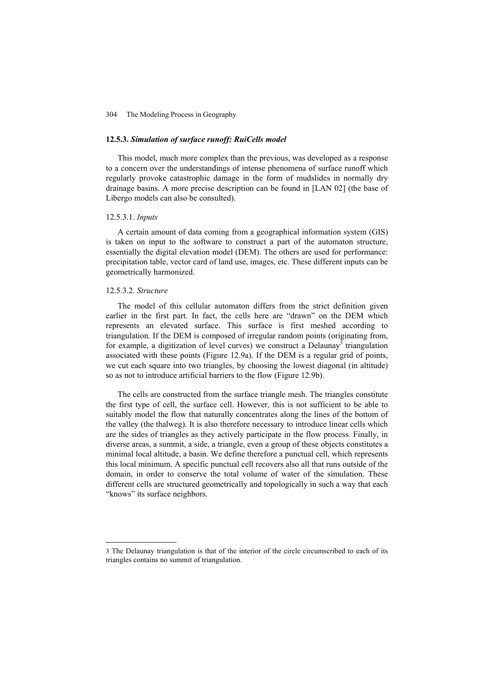### **12.5.3.** *Simulation of surface runoff: RuiCells model*

This model, much more complex than the previous, was developed as a response to a concern over the understandings of intense phenomena of surface runoff which regularly provoke catastrophic damage in the form of mudslides in normally dry drainage basins. A more precise description can be found in [LAN 02] (the base of Libergo models can also be consulted).

#### 12.5.3.1. *Inputs*

A certain amount of data coming from a geographical information system (GIS) is taken on input to the software to construct a part of the automaton structure, essentially the digital elevation model (DEM). The others are used for performance: precipitation table, vector card of land use, images, etc. These different inputs can be geometrically harmonized.

#### 12.5.3.2. *Structure*

 $\overline{a}$ 

The model of this cellular automaton differs from the strict definition given earlier in the first part. In fact, the cells here are "drawn" on the DEM which represents an elevated surface. This surface is first meshed according to triangulation. If the DEM is composed of irregular random points (originating from, for example, a digitization of level curves) we construct a Delaunay<sup>3</sup> triangulation associated with these points (Figure 12.9a). If the DEM is a regular grid of points, we cut each square into two triangles, by choosing the lowest diagonal (in altitude) so as not to introduce artificial barriers to the flow (Figure 12.9b).

The cells are constructed from the surface triangle mesh. The triangles constitute the first type of cell, the surface cell. However, this is not sufficient to be able to suitably model the flow that naturally concentrates along the lines of the bottom of the valley (the thalweg). It is also therefore necessary to introduce linear cells which are the sides of triangles as they actively participate in the flow process. Finally, in diverse areas, a summit, a side, a triangle, even a group of these objects constitutes a minimal local altitude, a basin. We define therefore a punctual cell, which represents this local minimum. A specific punctual cell recovers also all that runs outside of the domain, in order to conserve the total volume of water of the simulation. These different cells are structured geometrically and topologically in such a way that each "knows" its surface neighbors.

<sup>3</sup> The Delaunay triangulation is that of the interior of the circle circumscribed to each of its triangles contains no summit of triangulation.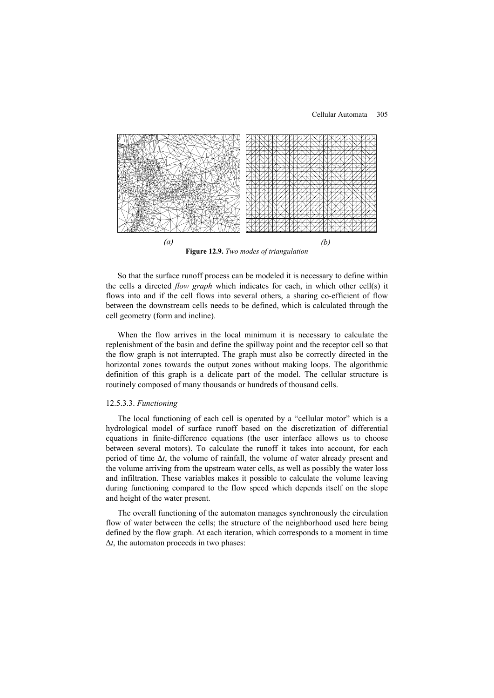

**Figure 12.9.** *Two modes of triangulation*

So that the surface runoff process can be modeled it is necessary to define within the cells a directed *flow graph* which indicates for each, in which other cell(s) it flows into and if the cell flows into several others, a sharing co-efficient of flow between the downstream cells needs to be defined, which is calculated through the cell geometry (form and incline).

When the flow arrives in the local minimum it is necessary to calculate the replenishment of the basin and define the spillway point and the receptor cell so that the flow graph is not interrupted. The graph must also be correctly directed in the horizontal zones towards the output zones without making loops. The algorithmic definition of this graph is a delicate part of the model. The cellular structure is routinely composed of many thousands or hundreds of thousand cells.

#### 12.5.3.3. *Functioning*

The local functioning of each cell is operated by a "cellular motor" which is a hydrological model of surface runoff based on the discretization of differential equations in finite-difference equations (the user interface allows us to choose between several motors). To calculate the runoff it takes into account, for each period of time  $\Delta t$ , the volume of rainfall, the volume of water already present and the volume arriving from the upstream water cells, as well as possibly the water loss and infiltration. These variables makes it possible to calculate the volume leaving during functioning compared to the flow speed which depends itself on the slope and height of the water present.

The overall functioning of the automaton manages synchronously the circulation flow of water between the cells; the structure of the neighborhood used here being defined by the flow graph. At each iteration, which corresponds to a moment in time  $\Delta t$ , the automaton proceeds in two phases: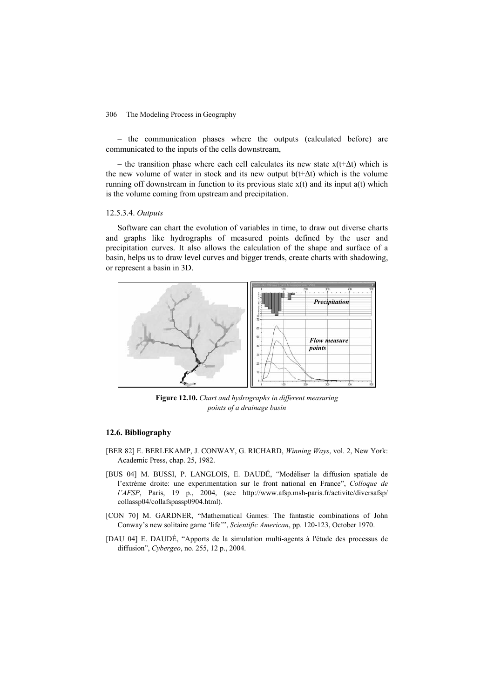– the communication phases where the outputs (calculated before) are communicated to the inputs of the cells downstream,

– the transition phase where each cell calculates its new state  $x(t+\Delta t)$  which is the new volume of water in stock and its new output  $b(t+\Delta t)$  which is the volume running off downstream in function to its previous state  $x(t)$  and its input  $a(t)$  which is the volume coming from upstream and precipitation.

# 12.5.3.4. *Outputs*

Software can chart the evolution of variables in time, to draw out diverse charts and graphs like hydrographs of measured points defined by the user and precipitation curves. It also allows the calculation of the shape and surface of a basin, helps us to draw level curves and bigger trends, create charts with shadowing, or represent a basin in 3D.



**Figure 12.10.** *Chart and hydrographs in different measuring points of a drainage basin*

#### **12.6. Bibliography**

- [BER 82] E. BERLEKAMP, J. CONWAY, G. RICHARD, *Winning Ways*, vol. 2, New York: Academic Press, chap. 25, 1982.
- [BUS 04] M. BUSSI, P. LANGLOIS, E. DAUDÉ, "Modéliser la diffusion spatiale de l'extrème droite: une experimentation sur le front national en France", *Colloque de l'AFSP*, Paris, 19 p., 2004, (see http://www.afsp.msh-paris.fr/activite/diversafsp/ collassp04/collafspassp0904.html).
- [CON 70] M. GARDNER, "Mathematical Games: The fantastic combinations of John Conway's new solitaire game 'life'", *Scientific American*, pp. 120-123, October 1970.
- [DAU 04] E. DAUDÉ, "Apports de la simulation multi-agents à l'étude des processus de diffusion", *Cybergeo*, no. 255, 12 p., 2004.